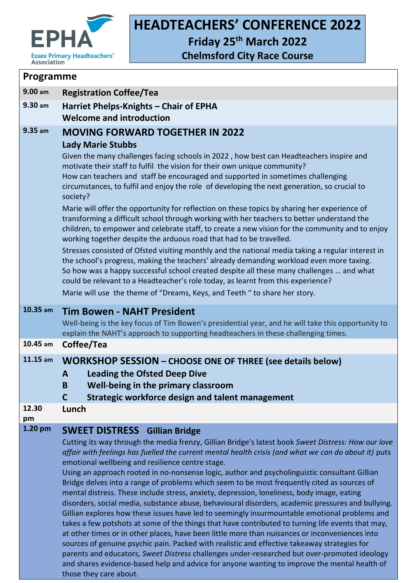

 $\Gamma$ 

## **HEADTEACHERS' CONFERENCE 2022**

**Friday 25 th March 2022**

**Chelmsford City Race Course**

| Programme              |                                                                                                                                                                                                                                                                                                                                                                                                                                                                                                                                                                                                                                                                                                                                                                                                                                                                                                                                                                                                                                                                                                                                                                                                                                                                                 |  |  |  |
|------------------------|---------------------------------------------------------------------------------------------------------------------------------------------------------------------------------------------------------------------------------------------------------------------------------------------------------------------------------------------------------------------------------------------------------------------------------------------------------------------------------------------------------------------------------------------------------------------------------------------------------------------------------------------------------------------------------------------------------------------------------------------------------------------------------------------------------------------------------------------------------------------------------------------------------------------------------------------------------------------------------------------------------------------------------------------------------------------------------------------------------------------------------------------------------------------------------------------------------------------------------------------------------------------------------|--|--|--|
| 9.00 am                | <b>Registration Coffee/Tea</b>                                                                                                                                                                                                                                                                                                                                                                                                                                                                                                                                                                                                                                                                                                                                                                                                                                                                                                                                                                                                                                                                                                                                                                                                                                                  |  |  |  |
| $9.30$ am              | Harriet Phelps-Knights - Chair of EPHA<br><b>Welcome and introduction</b>                                                                                                                                                                                                                                                                                                                                                                                                                                                                                                                                                                                                                                                                                                                                                                                                                                                                                                                                                                                                                                                                                                                                                                                                       |  |  |  |
| 9.35 am                | <b>MOVING FORWARD TOGETHER IN 2022</b><br><b>Lady Marie Stubbs</b><br>Given the many challenges facing schools in 2022, how best can Headteachers inspire and<br>motivate their staff to fulfil the vision for their own unique community?<br>How can teachers and staff be encouraged and supported in sometimes challenging<br>circumstances, to fulfil and enjoy the role of developing the next generation, so crucial to<br>society?<br>Marie will offer the opportunity for reflection on these topics by sharing her experience of<br>transforming a difficult school through working with her teachers to better understand the<br>children, to empower and celebrate staff, to create a new vision for the community and to enjoy<br>working together despite the arduous road that had to be travelled.<br>Stresses consisted of Ofsted visiting monthly and the national media taking a regular interest in<br>the school's progress, making the teachers' already demanding workload even more taxing.<br>So how was a happy successful school created despite all these many challenges  and what<br>could be relevant to a Headteacher's role today, as learnt from this experience?<br>Marie will use the theme of "Dreams, Keys, and Teeth" to share her story. |  |  |  |
| 10.35 am<br>$10.45$ am | <b>Tim Bowen - NAHT President</b><br>Well-being is the key focus of Tim Bowen's presidential year, and he will take this opportunity to<br>explain the NAHT's approach to supporting headteachers in these challenging times.<br>Coffee/Tea                                                                                                                                                                                                                                                                                                                                                                                                                                                                                                                                                                                                                                                                                                                                                                                                                                                                                                                                                                                                                                     |  |  |  |
| $11.15$ am             | <b>WORKSHOP SESSION - CHOOSE ONE OF THREE (see details below)</b><br><b>Leading the Ofsted Deep Dive</b><br>A<br>Well-being in the primary classroom<br>B<br>Strategic workforce design and talent management<br>$\mathsf{C}$                                                                                                                                                                                                                                                                                                                                                                                                                                                                                                                                                                                                                                                                                                                                                                                                                                                                                                                                                                                                                                                   |  |  |  |
| 12.30<br>pm            | Lunch                                                                                                                                                                                                                                                                                                                                                                                                                                                                                                                                                                                                                                                                                                                                                                                                                                                                                                                                                                                                                                                                                                                                                                                                                                                                           |  |  |  |
| $1.20$ pm              | <b>SWEET DISTRESS</b><br><b>Gillian Bridge</b><br>Cutting its way through the media frenzy, Gillian Bridge's latest book Sweet Distress: How our love<br>affair with feelings has fuelled the current mental health crisis (and what we can do about it) puts<br>emotional wellbeing and resilience centre stage.<br>Using an approach rooted in no-nonsense logic, author and psycholinguistic consultant Gillian<br>Bridge delves into a range of problems which seem to be most frequently cited as sources of<br>mental distress. These include stress, anxiety, depression, loneliness, body image, eating<br>disorders, social media, substance abuse, behavioural disorders, academic pressures and bullying.<br>Gillian explores how these issues have led to seemingly insurmountable emotional problems and<br>takes a few potshots at some of the things that have contributed to turning life events that may,<br>at other times or in other places, have been little more than nuisances or inconveniences into<br>sources of genuine psychic pain. Packed with realistic and effective takeaway strategies for<br>parents and educators, Sweet Distress challenges under-researched but over-promoted ideology                                                    |  |  |  |

those they care about.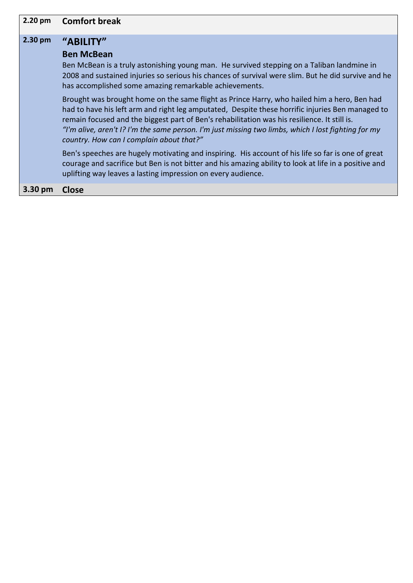| 2.20 pm | <b>Comfort break</b>                                                                                                                                                                                                                                                                                                                                                                                                                               |
|---------|----------------------------------------------------------------------------------------------------------------------------------------------------------------------------------------------------------------------------------------------------------------------------------------------------------------------------------------------------------------------------------------------------------------------------------------------------|
| 2.30 pm | "ABILITY"<br><b>Ben McBean</b><br>Ben McBean is a truly astonishing young man. He survived stepping on a Taliban landmine in<br>2008 and sustained injuries so serious his chances of survival were slim. But he did survive and he<br>has accomplished some amazing remarkable achievements.                                                                                                                                                      |
|         | Brought was brought home on the same flight as Prince Harry, who hailed him a hero, Ben had<br>had to have his left arm and right leg amputated, Despite these horrific injuries Ben managed to<br>remain focused and the biggest part of Ben's rehabilitation was his resilience. It still is.<br>"I'm alive, aren't I? I'm the same person. I'm just missing two limbs, which I lost fighting for my<br>country. How can I complain about that?" |
|         | Ben's speeches are hugely motivating and inspiring. His account of his life so far is one of great<br>courage and sacrifice but Ben is not bitter and his amazing ability to look at life in a positive and<br>uplifting way leaves a lasting impression on every audience.                                                                                                                                                                        |
| 3.30 pm | <b>Close</b>                                                                                                                                                                                                                                                                                                                                                                                                                                       |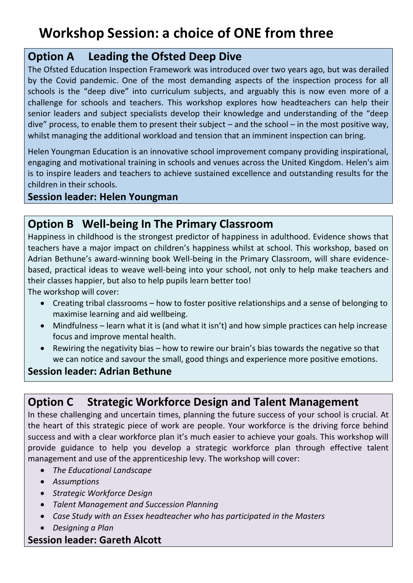# **Workshop Session: a choice of ONE from three**

## **Option A Leading the Ofsted Deep Dive**

The Ofsted Education Inspection Framework was introduced over two years ago, but was derailed by the Covid pandemic. One of the most demanding aspects of the inspection process for all schools is the "deep dive" into curriculum subjects, and arguably this is now even more of a challenge for schools and teachers. This workshop explores how headteachers can help their senior leaders and subject specialists develop their knowledge and understanding of the "deep dive" process, to enable them to present their subject – and the school – in the most positive way, whilst managing the additional workload and tension that an imminent inspection can bring.

Helen Youngman Education is an innovative school improvement company providing inspirational, engaging and motivational training in schools and venues across the United Kingdom. Helen's aim is to inspire leaders and teachers to achieve sustained excellence and outstanding results for the children in their schools.

#### **Session leader: Helen Youngman**

## **Option B Well-being In The Primary Classroom**

Happiness in childhood is the strongest predictor of happiness in adulthood. Evidence shows that teachers have a major impact on children's happiness whilst at school. This workshop, based on Adrian Bethune's award-winning book Well-being in the Primary Classroom, will share evidencebased, practical ideas to weave well-being into your school, not only to help make teachers and their classes happier, but also to help pupils learn better too!

The workshop will cover:

- Creating tribal classrooms how to foster positive relationships and a sense of belonging to maximise learning and aid wellbeing.
- Mindfulness learn what it is (and what it isn't) and how simple practices can help increase focus and improve mental health.
- Rewiring the negativity bias how to rewire our brain's bias towards the negative so that we can notice and savour the small, good things and experience more positive emotions.

### **Session leader: Adrian Bethune**

## **Option C Strategic Workforce Design and Talent Management**

In these challenging and uncertain times, planning the future success of your school is crucial. At the heart of this strategic piece of work are people. Your workforce is the driving force behind success and with a clear workforce plan it's much easier to achieve your goals. This workshop will provide guidance to help you develop a strategic workforce plan through effective talent management and use of the apprenticeship levy. The workshop will cover:

- *The Educational Landscape*
- *Assumptions*
- *Strategic Workforce Design*
- *Talent Management and Succession Planning*
- *Case Study with an Essex headteacher who has participated in the Masters*
- *Designing a Plan*

### **Session leader: Gareth Alcott**